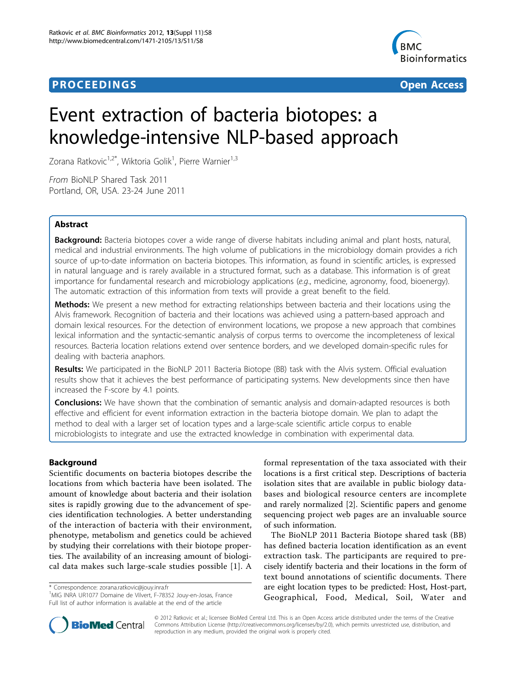# **PROCEEDINGS CONSUMING S** Open Access **CONSUMING S**



# Event extraction of bacteria biotopes: a knowledge-intensive NLP-based approach

Zorana Ratkovic<sup>1,2\*</sup>, Wiktoria Golik<sup>1</sup>, Pierre Warnier<sup>1,3</sup>

From BioNLP Shared Task 2011 Portland, OR, USA. 23-24 June 2011

# Abstract

Background: Bacteria biotopes cover a wide range of diverse habitats including animal and plant hosts, natural, medical and industrial environments. The high volume of publications in the microbiology domain provides a rich source of up-to-date information on bacteria biotopes. This information, as found in scientific articles, is expressed in natural language and is rarely available in a structured format, such as a database. This information is of great importance for fundamental research and microbiology applications (e.g., medicine, agronomy, food, bioenergy). The automatic extraction of this information from texts will provide a great benefit to the field.

Methods: We present a new method for extracting relationships between bacteria and their locations using the Alvis framework. Recognition of bacteria and their locations was achieved using a pattern-based approach and domain lexical resources. For the detection of environment locations, we propose a new approach that combines lexical information and the syntactic-semantic analysis of corpus terms to overcome the incompleteness of lexical resources. Bacteria location relations extend over sentence borders, and we developed domain-specific rules for dealing with bacteria anaphors.

Results: We participated in the BioNLP 2011 Bacteria Biotope (BB) task with the Alvis system. Official evaluation results show that it achieves the best performance of participating systems. New developments since then have increased the F-score by 4.1 points.

**Conclusions:** We have shown that the combination of semantic analysis and domain-adapted resources is both effective and efficient for event information extraction in the bacteria biotope domain. We plan to adapt the method to deal with a larger set of location types and a large-scale scientific article corpus to enable microbiologists to integrate and use the extracted knowledge in combination with experimental data.

# Background

Scientific documents on bacteria biotopes describe the locations from which bacteria have been isolated. The amount of knowledge about bacteria and their isolation sites is rapidly growing due to the advancement of species identification technologies. A better understanding of the interaction of bacteria with their environment, phenotype, metabolism and genetics could be achieved by studying their correlations with their biotope properties. The availability of an increasing amount of biological data makes such large-scale studies possible [\[1](#page-9-0)]. A

\* Correspondence: [zorana.ratkovic@jouy.inra.fr](mailto:zorana.ratkovic@jouy.inra.fr)

<sup>1</sup>MIG INRA UR1077 Domaine de Vilvert, F-78352 Jouy-en-Josas, France Full list of author information is available at the end of the article



The BioNLP 2011 Bacteria Biotope shared task (BB) has defined bacteria location identification as an event extraction task. The participants are required to precisely identify bacteria and their locations in the form of text bound annotations of scientific documents. There are eight location types to be predicted: Host, Host-part, Geographical, Food, Medical, Soil, Water and



© 2012 Ratkovic et al.; licensee BioMed Central Ltd. This is an Open Access article distributed under the terms of the Creative Commons Attribution License [\(http://creativecommons.org/licenses/by/2.0](http://creativecommons.org/licenses/by/2.0)), which permits unrestricted use, distribution, and reproduction in any medium, provided the original work is properly cited.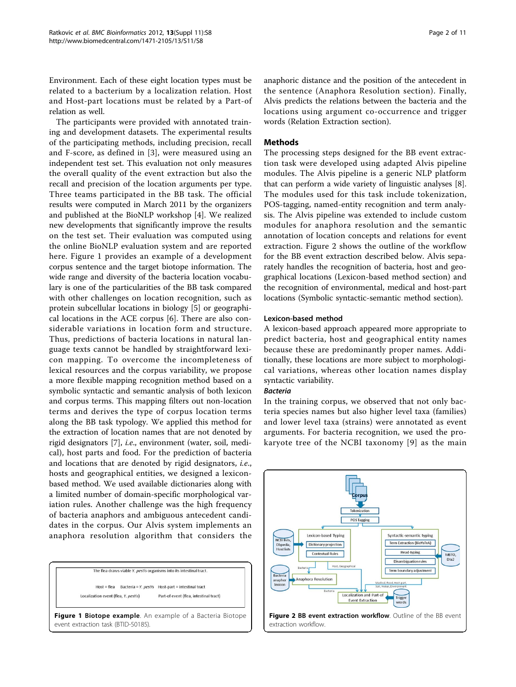Environment. Each of these eight location types must be related to a bacterium by a localization relation. Host and Host-part locations must be related by a Part-of relation as well.

The participants were provided with annotated training and development datasets. The experimental results of the participating methods, including precision, recall and F-score, as defined in [[3\]](#page-9-0), were measured using an independent test set. This evaluation not only measures the overall quality of the event extraction but also the recall and precision of the location arguments per type. Three teams participated in the BB task. The official results were computed in March 2011 by the organizers and published at the BioNLP workshop [[4](#page-9-0)]. We realized new developments that significantly improve the results on the test set. Their evaluation was computed using the online BioNLP evaluation system and are reported here. Figure 1 provides an example of a development corpus sentence and the target biotope information. The wide range and diversity of the bacteria location vocabulary is one of the particularities of the BB task compared with other challenges on location recognition, such as protein subcellular locations in biology [[5](#page-9-0)] or geographical locations in the ACE corpus [[6\]](#page-9-0). There are also considerable variations in location form and structure. Thus, predictions of bacteria locations in natural language texts cannot be handled by straightforward lexicon mapping. To overcome the incompleteness of lexical resources and the corpus variability, we propose a more flexible mapping recognition method based on a symbolic syntactic and semantic analysis of both lexicon and corpus terms. This mapping filters out non-location terms and derives the type of corpus location terms along the BB task typology. We applied this method for the extraction of location names that are not denoted by rigid designators [\[7\]](#page-9-0), i.e., environment (water, soil, medical), host parts and food. For the prediction of bacteria and locations that are denoted by rigid designators, i.e., hosts and geographical entities, we designed a lexiconbased method. We used available dictionaries along with a limited number of domain-specific morphological variation rules. Another challenge was the high frequency of bacteria anaphors and ambiguous antecedent candidates in the corpus. Our Alvis system implements an anaphora resolution algorithm that considers the

The flea draws viable Y. pestis organisms into its intestinal tract. Host = flea Bacteria = Y. pestis Host-part = intestinal tract Localization event (flea, Y. pestis) Part-of event (flea, intestinal tract) Figure 1 Biotope example. An example of a Bacteria Biotope event extraction task (BTID-50185).

anaphoric distance and the position of the antecedent in the sentence (Anaphora Resolution section). Finally, Alvis predicts the relations between the bacteria and the locations using argument co-occurrence and trigger words (Relation Extraction section).

### Methods

The processing steps designed for the BB event extraction task were developed using adapted Alvis pipeline modules. The Alvis pipeline is a generic NLP platform that can perform a wide variety of linguistic analyses [\[8](#page-9-0)]. The modules used for this task include tokenization, POS-tagging, named-entity recognition and term analysis. The Alvis pipeline was extended to include custom modules for anaphora resolution and the semantic annotation of location concepts and relations for event extraction. Figure 2 shows the outline of the workflow for the BB event extraction described below. Alvis separately handles the recognition of bacteria, host and geographical locations (Lexicon-based method section) and the recognition of environmental, medical and host-part locations (Symbolic syntactic-semantic method section).

#### Lexicon-based method

A lexicon-based approach appeared more appropriate to predict bacteria, host and geographical entity names because these are predominantly proper names. Additionally, these locations are more subject to morphological variations, whereas other location names display syntactic variability.

#### Bacteria

In the training corpus, we observed that not only bacteria species names but also higher level taxa (families) and lower level taxa (strains) were annotated as event arguments. For bacteria recognition, we used the prokaryote tree of the NCBI taxonomy [[9\]](#page-9-0) as the main

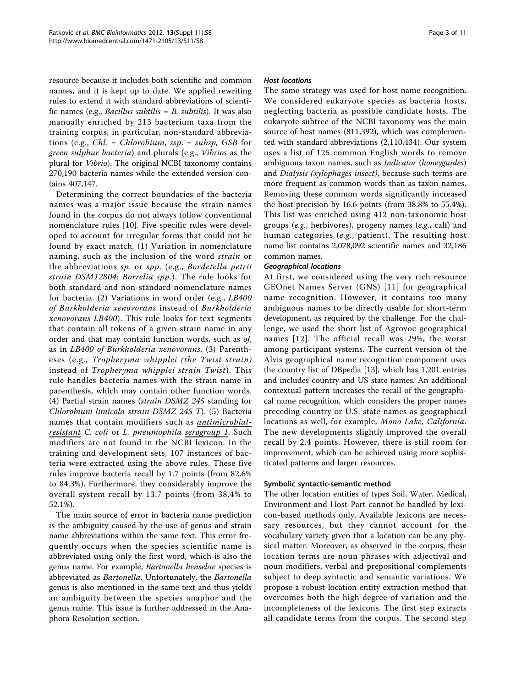resource because it includes both scientific and common names, and it is kept up to date. We applied rewriting rules to extend it with standard abbreviations of scientific names (e.g., *Bacillus subtilis = B. subtilis*). It was also manually enriched by 213 bacterium taxa from the training corpus, in particular, non-standard abbreviations (e.g., Chl. = Chlorobium, ssp. = subsp, GSB for green sulphur bacteria) and plurals (e.g., Vibrios as the plural for Vibrio). The original NCBI taxonomy contains 270,190 bacteria names while the extended version contains 407,147.

Determining the correct boundaries of the bacteria names was a major issue because the strain names found in the corpus do not always follow conventional nomenclature rules [[10\]](#page-9-0). Five specific rules were developed to account for irregular forms that could not be found by exact match. (1) Variation in nomenclature naming, such as the inclusion of the word strain or the abbreviations sp. or spp. (e.g., Bordetella petrii strain DSM12804; Borrelia spp.). The rule looks for both standard and non-standard nomenclature names for bacteria. (2) Variations in word order (e.g., LB400 of Burkholderia xenovorans instead of Burkholderia xenovorans LB400). This rule looks for text segments that contain all tokens of a given strain name in any order and that may contain function words, such as of, as in LB400 of Burkholderia xenovorans. (3) Parentheses (e.g., Tropheryma whipplei (the Twist strain) instead of Tropheryma whipplei strain Twist). This rule handles bacteria names with the strain name in parenthesis, which may contain other function words. (4) Partial strain names (strain DSMZ 245 standing for Chlorobium limicola strain DSMZ 245 T). (5) Bacteria names that contain modifiers such as antimicrobialresistant C. coli or L. pneumophila serogroup 1. Such modifiers are not found in the NCBI lexicon. In the training and development sets, 107 instances of bacteria were extracted using the above rules. These five rules improve bacteria recall by 1.7 points (from 82.6% to 84.3%). Furthermore, they considerably improve the overall system recall by 13.7 points (from 38.4% to 52.1%).

The main source of error in bacteria name prediction is the ambiguity caused by the use of genus and strain name abbreviations within the same text. This error frequently occurs when the species scientific name is abbreviated using only the first word, which is also the genus name. For example, Bartonella henselae species is abbreviated as Bartonella. Unfortunately, the Bartonella genus is also mentioned in the same text and thus yields an ambiguity between the species anaphor and the genus name. This issue is further addressed in the Anaphora Resolution section.

#### Host locations

The same strategy was used for host name recognition. We considered eukaryote species as bacteria hosts, neglecting bacteria as possible candidate hosts. The eukaryote subtree of the NCBI taxonomy was the main source of host names (811,392), which was complemented with standard abbreviations (2,110,434). Our system uses a list of 125 common English words to remove ambiguous taxon names, such as Indicator (honeyguides) and Dialysis (xylophages insect), because such terms are more frequent as common words than as taxon names. Removing these common words significantly increased the host precision by 16.6 points (from 38.8% to 55.4%). This list was enriched using 412 non-taxonomic host groups (e.g., herbivores), progeny names (e.g., calf) and human categories (e.g., patient). The resulting host name list contains 2,078,092 scientific names and 32,186 common names.

## Geographical locations

At first, we considered using the very rich resource GEOnet Names Server (GNS) [[11\]](#page-9-0) for geographical name recognition. However, it contains too many ambiguous names to be directly usable for short-term development, as required by the challenge. For the challenge, we used the short list of Agrovoc geographical names [[12](#page-9-0)]. The official recall was 29%, the worst among participant systems. The current version of the Alvis geographical name recognition component uses the country list of DBpedia [\[13](#page-9-0)], which has 1,201 entries and includes country and US state names. An additional contextual pattern increases the recall of the geographical name recognition, which considers the proper names preceding country or U.S. state names as geographical locations as well, for example, Mono Lake, California. The new developments slightly improved the overall recall by 2.4 points. However, there is still room for improvement, which can be achieved using more sophisticated patterns and larger resources.

# Symbolic syntactic-semantic method

The other location entities of types Soil, Water, Medical, Environment and Host-Part cannot be handled by lexicon-based methods only. Available lexicons are necessary resources, but they cannot account for the vocabulary variety given that a location can be any physical matter. Moreover, as observed in the corpus, these location terms are noun phrases with adjectival and noun modifiers, verbal and prepositional complements subject to deep syntactic and semantic variations. We propose a robust location entity extraction method that overcomes both the high degree of variation and the incompleteness of the lexicons. The first step extracts all candidate terms from the corpus. The second step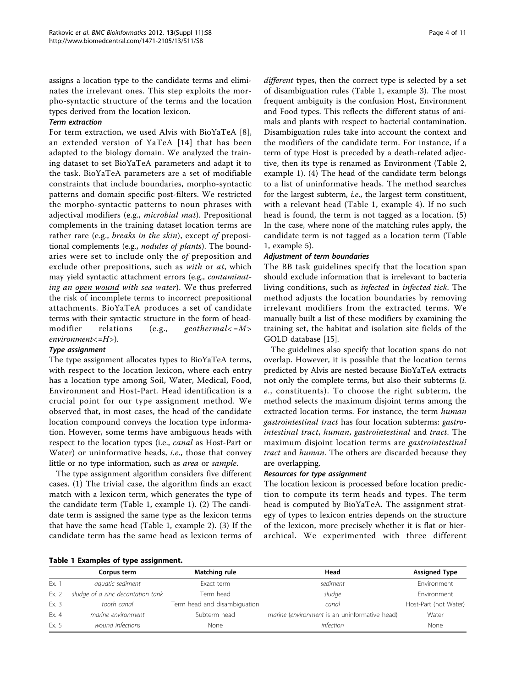assigns a location type to the candidate terms and eliminates the irrelevant ones. This step exploits the morpho-syntactic structure of the terms and the location types derived from the location lexicon.

## Term extraction

For term extraction, we used Alvis with BioYaTeA [[8](#page-9-0)], an extended version of YaTeA [[14](#page-9-0)] that has been adapted to the biology domain. We analyzed the training dataset to set BioYaTeA parameters and adapt it to the task. BioYaTeA parameters are a set of modifiable constraints that include boundaries, morpho-syntactic patterns and domain specific post-filters. We restricted the morpho-syntactic patterns to noun phrases with adjectival modifiers (e.g., microbial mat). Prepositional complements in the training dataset location terms are rather rare (e.g., *breaks in the skin*), except of prepositional complements (e.g., *nodules of plants*). The boundaries were set to include only the of preposition and exclude other prepositions, such as with or at, which may yield syntactic attachment errors (e.g., contaminating an open wound with sea water). We thus preferred the risk of incomplete terms to incorrect prepositional attachments. BioYaTeA produces a set of candidate terms with their syntactic structure in the form of headmodifier relations (e.g., *geothermal* <= M>  $environment < = H$ ).

# Type assignment

The type assignment allocates types to BioYaTeA terms, with respect to the location lexicon, where each entry has a location type among Soil, Water, Medical, Food, Environment and Host-Part. Head identification is a crucial point for our type assignment method. We observed that, in most cases, the head of the candidate location compound conveys the location type information. However, some terms have ambiguous heads with respect to the location types (i.e., *canal* as Host-Part or Water) or uninformative heads, i.e., those that convey little or no type information, such as area or sample.

The type assignment algorithm considers five different cases. (1) The trivial case, the algorithm finds an exact match with a lexicon term, which generates the type of the candidate term (Table 1, example 1). (2) The candidate term is assigned the same type as the lexicon terms that have the same head (Table 1, example 2). (3) If the candidate term has the same head as lexicon terms of different types, then the correct type is selected by a set of disambiguation rules (Table 1, example 3). The most frequent ambiguity is the confusion Host, Environment and Food types. This reflects the different status of animals and plants with respect to bacterial contamination. Disambiguation rules take into account the context and the modifiers of the candidate term. For instance, if a term of type Host is preceded by a death-related adjective, then its type is renamed as Environment (Table [2](#page-4-0), example 1). (4) The head of the candidate term belongs to a list of uninformative heads. The method searches for the largest subterm, i.e., the largest term constituent, with a relevant head (Table 1, example 4). If no such head is found, the term is not tagged as a location. (5) In the case, where none of the matching rules apply, the candidate term is not tagged as a location term (Table 1, example 5).

# Adjustment of term boundaries

The BB task guidelines specify that the location span should exclude information that is irrelevant to bacteria living conditions, such as infected in infected tick. The method adjusts the location boundaries by removing irrelevant modifiers from the extracted terms. We manually built a list of these modifiers by examining the training set, the habitat and isolation site fields of the GOLD database [\[15](#page-9-0)].

The guidelines also specify that location spans do not overlap. However, it is possible that the location terms predicted by Alvis are nested because BioYaTeA extracts not only the complete terms, but also their subterms (i. e., constituents). To choose the right subterm, the method selects the maximum disjoint terms among the extracted location terms. For instance, the term *human* gastrointestinal tract has four location subterms: gastrointestinal tract, human, gastrointestinal and tract. The maximum disjoint location terms are gastrointestinal tract and human. The others are discarded because they are overlapping.

# Resources for type assignment

The location lexicon is processed before location prediction to compute its term heads and types. The term head is computed by BioYaTeA. The assignment strategy of types to lexicon entries depends on the structure of the lexicon, more precisely whether it is flat or hierarchical. We experimented with three different

|       | Table I Examples of type assignment. |                              |                                               |                       |  |  |  |
|-------|--------------------------------------|------------------------------|-----------------------------------------------|-----------------------|--|--|--|
|       | Corpus term                          | Matching rule                | Head                                          | <b>Assigned Type</b>  |  |  |  |
| Ex. 1 | aquatic sediment                     | Exact term                   | sediment                                      | Environment           |  |  |  |
| Ex. 2 | sludge of a zinc decantation tank    | Term head                    | sludge                                        | Environment           |  |  |  |
| Ex. 3 | tooth canal                          | Term head and disambiguation | canal                                         | Host-Part (not Water) |  |  |  |
| Ex. 4 | marine environment                   | Subterm head                 | marine (environment is an uninformative head) | Water                 |  |  |  |
| Ex. 5 | wound infections                     | None                         | infection                                     | None                  |  |  |  |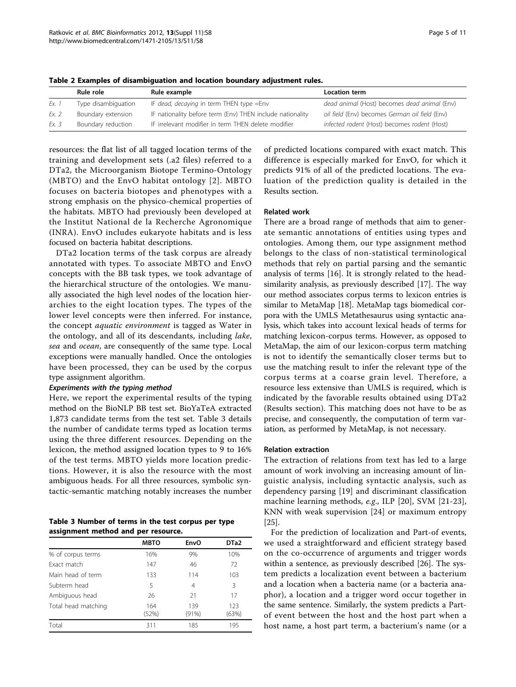|       | Rule role           | Rule example                                              | Location term                                  |
|-------|---------------------|-----------------------------------------------------------|------------------------------------------------|
| Ex. 1 | Type disambiguation | IF dead, decaying in term THEN type = Env                 | dead animal (Host) becomes dead animal (Env)   |
| Ex. 2 | Boundary extension  | IF nationality before term (Env) THEN include nationality | oil field (Env) becomes German oil field (Env) |
| Ex. 3 | Boundary reduction  | IF irrelevant modifier in term THEN delete modifier       | infected rodent (Host) becomes rodent (Host)   |

<span id="page-4-0"></span>Table 2 Examples of disambiguation and location boundary adjustment rules.

resources: the flat list of all tagged location terms of the training and development sets (.a2 files) referred to a DTa2, the Microorganism Biotope Termino-Ontology (MBTO) and the EnvO habitat ontology [[2](#page-9-0)]. MBTO focuses on bacteria biotopes and phenotypes with a strong emphasis on the physico-chemical properties of the habitats. MBTO had previously been developed at the Institut National de la Recherche Agronomique (INRA). EnvO includes eukaryote habitats and is less focused on bacteria habitat descriptions.

DTa2 location terms of the task corpus are already annotated with types. To associate MBTO and EnvO concepts with the BB task types, we took advantage of the hierarchical structure of the ontologies. We manually associated the high level nodes of the location hierarchies to the eight location types. The types of the lower level concepts were then inferred. For instance, the concept aquatic environment is tagged as Water in the ontology, and all of its descendants, including lake, sea and ocean, are consequently of the same type. Local exceptions were manually handled. Once the ontologies have been processed, they can be used by the corpus type assignment algorithm.

#### Experiments with the typing method

Here, we report the experimental results of the typing method on the BioNLP BB test set. BioYaTeA extracted 1,873 candidate terms from the test set. Table 3 details the number of candidate terms typed as location terms using the three different resources. Depending on the lexicon, the method assigned location types to 9 to 16% of the test terms. MBTO yields more location predictions. However, it is also the resource with the most ambiguous heads. For all three resources, symbolic syntactic-semantic matching notably increases the number

Table 3 Number of terms in the test corpus per type assignment method and per resource.

|                     | <b>MBTO</b>  | EnvO         | DTa <sub>2</sub> |
|---------------------|--------------|--------------|------------------|
| % of corpus terms   | 16%          | 9%           | 10%              |
| Exact match         | 147          | 46           | 72               |
| Main head of term   | 133          | 114          | 103              |
| Subterm head        | 5            | 4            | 3                |
| Ambiguous head      | 26           | 21           | 17               |
| Total head matching | 164<br>(52%) | 139<br>(91%) | 123<br>(63%)     |
| Total               | 311          | 185          | 195              |

of predicted locations compared with exact match. This difference is especially marked for EnvO, for which it predicts 91% of all of the predicted locations. The evaluation of the prediction quality is detailed in the Results section.

#### Related work

There are a broad range of methods that aim to generate semantic annotations of entities using types and ontologies. Among them, our type assignment method belongs to the class of non-statistical terminological methods that rely on partial parsing and the semantic analysis of terms [\[16\]](#page-9-0). It is strongly related to the headsimilarity analysis, as previously described [[17\]](#page-9-0). The way our method associates corpus terms to lexicon entries is similar to MetaMap [\[18](#page-9-0)]. MetaMap tags biomedical corpora with the UMLS Metathesaurus using syntactic analysis, which takes into account lexical heads of terms for matching lexicon-corpus terms. However, as opposed to MetaMap, the aim of our lexicon-corpus term matching is not to identify the semantically closer terms but to use the matching result to infer the relevant type of the corpus terms at a coarse grain level. Therefore, a resource less extensive than UMLS is required, which is indicated by the favorable results obtained using DTa2 (Results section). This matching does not have to be as precise, and consequently, the computation of term variation, as performed by MetaMap, is not necessary.

#### Relation extraction

The extraction of relations from text has led to a large amount of work involving an increasing amount of linguistic analysis, including syntactic analysis, such as dependency parsing [\[19](#page-9-0)] and discriminant classification machine learning methods, e.g., ILP [[20\]](#page-9-0), SVM [\[21-23](#page-9-0)], KNN with weak supervision [[24](#page-10-0)] or maximum entropy [[25\]](#page-10-0).

For the prediction of localization and Part-of events, we used a straightforward and efficient strategy based on the co-occurrence of arguments and trigger words within a sentence, as previously described [[26\]](#page-10-0). The system predicts a localization event between a bacterium and a location when a bacteria name (or a bacteria anaphor), a location and a trigger word occur together in the same sentence. Similarly, the system predicts a Partof event between the host and the host part when a host name, a host part term, a bacterium's name (or a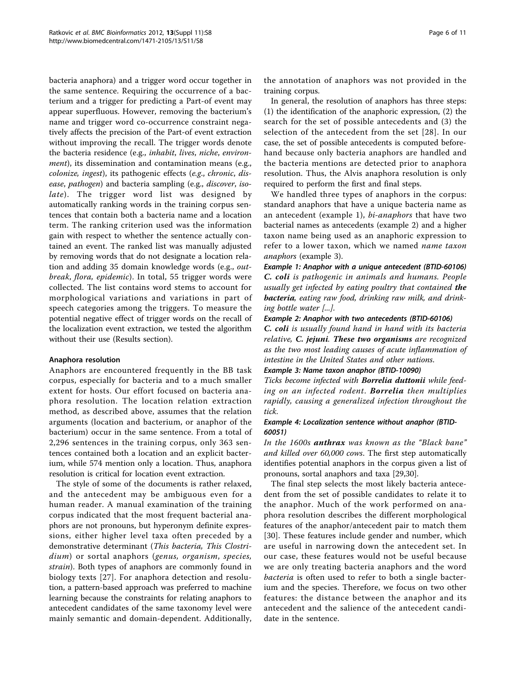bacteria anaphora) and a trigger word occur together in the same sentence. Requiring the occurrence of a bacterium and a trigger for predicting a Part-of event may appear superfluous. However, removing the bacterium's name and trigger word co-occurrence constraint negatively affects the precision of the Part-of event extraction without improving the recall. The trigger words denote the bacteria residence (e.g., inhabit, lives, niche, environment), its dissemination and contamination means (e.g., colonize, ingest), its pathogenic effects (e.g., chronic, disease, pathogen) and bacteria sampling (e.g., discover, isolate). The trigger word list was designed by automatically ranking words in the training corpus sentences that contain both a bacteria name and a location term. The ranking criterion used was the information gain with respect to whether the sentence actually contained an event. The ranked list was manually adjusted by removing words that do not designate a location relation and adding 35 domain knowledge words (e.g., outbreak, flora, epidemic). In total, 55 trigger words were collected. The list contains word stems to account for morphological variations and variations in part of speech categories among the triggers. To measure the potential negative effect of trigger words on the recall of the localization event extraction, we tested the algorithm without their use (Results section).

# Anaphora resolution

Anaphors are encountered frequently in the BB task corpus, especially for bacteria and to a much smaller extent for hosts. Our effort focused on bacteria anaphora resolution. The location relation extraction method, as described above, assumes that the relation arguments (location and bacterium, or anaphor of the bacterium) occur in the same sentence. From a total of 2,296 sentences in the training corpus, only 363 sentences contained both a location and an explicit bacterium, while 574 mention only a location. Thus, anaphora resolution is critical for location event extraction.

The style of some of the documents is rather relaxed, and the antecedent may be ambiguous even for a human reader. A manual examination of the training corpus indicated that the most frequent bacterial anaphors are not pronouns, but hyperonym definite expressions, either higher level taxa often preceded by a demonstrative determinant (This bacteria, This Clostridium) or sortal anaphors (genus, organism, species, strain). Both types of anaphors are commonly found in biology texts [\[27\]](#page-10-0). For anaphora detection and resolution, a pattern-based approach was preferred to machine learning because the constraints for relating anaphors to antecedent candidates of the same taxonomy level were mainly semantic and domain-dependent. Additionally,

the annotation of anaphors was not provided in the training corpus.

In general, the resolution of anaphors has three steps: (1) the identification of the anaphoric expression, (2) the search for the set of possible antecedents and (3) the selection of the antecedent from the set [[28](#page-10-0)]. In our case, the set of possible antecedents is computed beforehand because only bacteria anaphors are handled and the bacteria mentions are detected prior to anaphora resolution. Thus, the Alvis anaphora resolution is only required to perform the first and final steps.

We handled three types of anaphors in the corpus: standard anaphors that have a unique bacteria name as an antecedent (example 1), bi-anaphors that have two bacterial names as antecedents (example 2) and a higher taxon name being used as an anaphoric expression to refer to a lower taxon, which we named name taxon anaphors (example 3).

Example 1: Anaphor with a unique antecedent (BTID-60106) C. coli is pathogenic in animals and humans. People usually get infected by eating poultry that contained the bacteria, eating raw food, drinking raw milk, and drinking bottle water [...].

#### Example 2: Anaphor with two antecedents (BTID-60106)

C. coli is usually found hand in hand with its bacteria relative, C. jejuni. These two organisms are recognized as the two most leading causes of acute inflammation of intestine in the United States and other nations.

### Example 3: Name taxon anaphor (BTID-10090)

Ticks become infected with **Borrelia duttonii** while feeding on an infected rodent. Borrelia then multiplies rapidly, causing a generalized infection throughout the tick.

## Example 4: Localization sentence without anaphor (BTID-60051)

In the 1600s anthrax was known as the "Black bane" and killed over 60,000 cows. The first step automatically identifies potential anaphors in the corpus given a list of pronouns, sortal anaphors and taxa [\[29,30](#page-10-0)].

The final step selects the most likely bacteria antecedent from the set of possible candidates to relate it to the anaphor. Much of the work performed on anaphora resolution describes the different morphological features of the anaphor/antecedent pair to match them [[30\]](#page-10-0). These features include gender and number, which are useful in narrowing down the antecedent set. In our case, these features would not be useful because we are only treating bacteria anaphors and the word bacteria is often used to refer to both a single bacterium and the species. Therefore, we focus on two other features: the distance between the anaphor and its antecedent and the salience of the antecedent candidate in the sentence.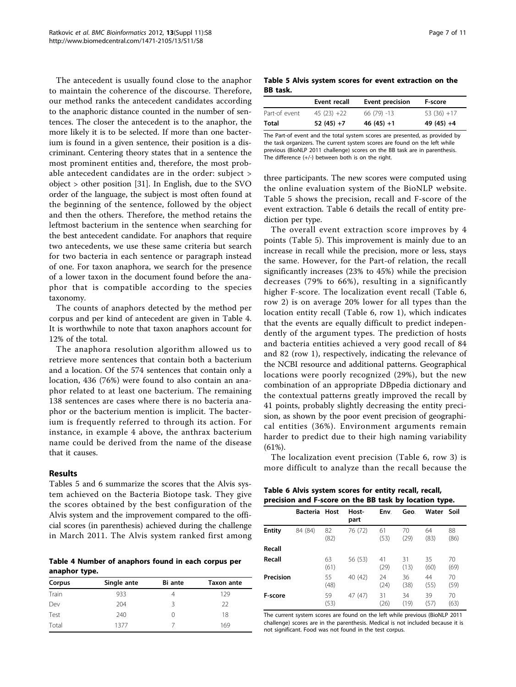The antecedent is usually found close to the anaphor to maintain the coherence of the discourse. Therefore, our method ranks the antecedent candidates according to the anaphoric distance counted in the number of sentences. The closer the antecedent is to the anaphor, the more likely it is to be selected. If more than one bacterium is found in a given sentence, their position is a discriminant. Centering theory states that in a sentence the most prominent entities and, therefore, the most probable antecedent candidates are in the order: subject > object > other position [\[31](#page-10-0)]. In English, due to the SVO order of the language, the subject is most often found at the beginning of the sentence, followed by the object and then the others. Therefore, the method retains the leftmost bacterium in the sentence when searching for the best antecedent candidate. For anaphors that require two antecedents, we use these same criteria but search for two bacteria in each sentence or paragraph instead of one. For taxon anaphora, we search for the presence of a lower taxon in the document found before the anaphor that is compatible according to the species taxonomy.

The counts of anaphors detected by the method per corpus and per kind of antecedent are given in Table 4. It is worthwhile to note that taxon anaphors account for 12% of the total.

The anaphora resolution algorithm allowed us to retrieve more sentences that contain both a bacterium and a location. Of the 574 sentences that contain only a location, 436 (76%) were found to also contain an anaphor related to at least one bacterium. The remaining 138 sentences are cases where there is no bacteria anaphor or the bacterium mention is implicit. The bacterium is frequently referred to through its action. For instance, in example 4 above, the anthrax bacterium name could be derived from the name of the disease that it causes.

#### Results

Tables 5 and 6 summarize the scores that the Alvis system achieved on the Bacteria Biotope task. They give the scores obtained by the best configuration of the Alvis system and the improvement compared to the official scores (in parenthesis) achieved during the challenge in March 2011. The Alvis system ranked first among

Table 4 Number of anaphors found in each corpus per anaphor type.

| Corpus | Single ante | Bi ante | Taxon ante |
|--------|-------------|---------|------------|
| Train  | 933         |         | 129        |
| Dev    | 204         |         | 22         |
| Test   | 240         |         | 18         |
| Total  | 1377        |         | 169        |

Page 7 of 11

Table 5 Alvis system scores for event extraction on the BB task.

|               | Event recall | Event precision | F-score      |
|---------------|--------------|-----------------|--------------|
| Part-of event | $45(23) +22$ | $66(79) -13$    | $53(36) +17$ |
| Total         | $52(45) +7$  | $46(45) + 1$    | $49(45) +4$  |

The Part-of event and the total system scores are presented, as provided by the task organizers. The current system scores are found on the left while previous (BioNLP 2011 challenge) scores on the BB task are in parenthesis. The difference (+/-) between both is on the right.

three participants. The new scores were computed using the online evaluation system of the BioNLP website. Table 5 shows the precision, recall and F-score of the event extraction. Table 6 details the recall of entity prediction per type.

The overall event extraction score improves by 4 points (Table 5). This improvement is mainly due to an increase in recall while the precision, more or less, stays the same. However, for the Part-of relation, the recall significantly increases (23% to 45%) while the precision decreases (79% to 66%), resulting in a significantly higher F-score. The localization event recall (Table 6, row 2) is on average 20% lower for all types than the location entity recall (Table 6, row 1), which indicates that the events are equally difficult to predict independently of the argument types. The prediction of hosts and bacteria entities achieved a very good recall of 84 and 82 (row 1), respectively, indicating the relevance of the NCBI resource and additional patterns. Geographical locations were poorly recognized (29%), but the new combination of an appropriate DBpedia dictionary and the contextual patterns greatly improved the recall by 41 points, probably slightly decreasing the entity precision, as shown by the poor event precision of geographical entities (36%). Environment arguments remain harder to predict due to their high naming variability (61%).

The localization event precision (Table 6, row 3) is more difficult to analyze than the recall because the

| Table 6 Alvis system scores for entity recall, recall, |
|--------------------------------------------------------|
| precision and F-score on the BB task by location type. |

|               | Bacteria Host |            | Host-<br>part | Env.       | Geo.       | Water Soil |            |
|---------------|---------------|------------|---------------|------------|------------|------------|------------|
| <b>Entity</b> | 84 (84)       | 82<br>(82) | 76 (72)       | 61<br>(53) | 70<br>(29) | 64<br>(83) | 88<br>(86) |
| Recall        |               |            |               |            |            |            |            |
| Recall        |               | 63<br>(61) | 56 (53)       | 41<br>(29) | 31<br>(13) | 35<br>(60) | 70<br>(69) |
| Precision     |               | 55<br>(48) | 40 (42)       | 24<br>(24) | 36<br>(38) | 44<br>(55) | 70<br>(59) |
| F-score       |               | 59<br>(53) | 47 (47)       | 31<br>(26) | 34<br>(19) | 39<br>(57) | 70<br>(63) |

The current system scores are found on the left while previous (BioNLP 2011 challenge) scores are in the parenthesis. Medical is not included because it is not significant. Food was not found in the test corpus.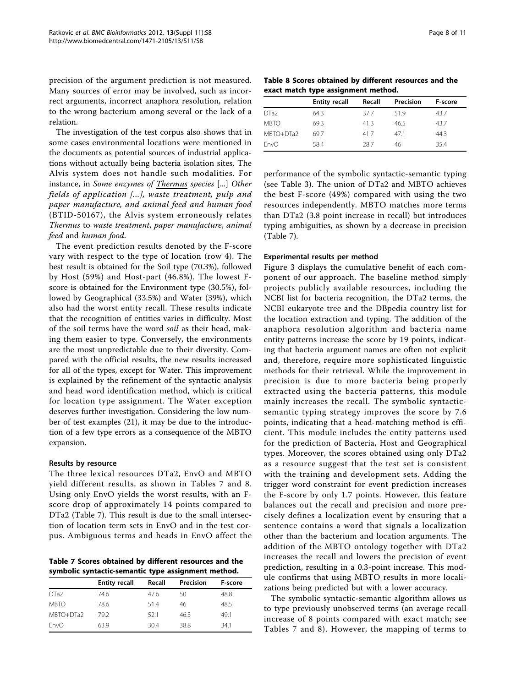<span id="page-7-0"></span>precision of the argument prediction is not measured. Many sources of error may be involved, such as incorrect arguments, incorrect anaphora resolution, relation to the wrong bacterium among several or the lack of a relation.

The investigation of the test corpus also shows that in some cases environmental locations were mentioned in the documents as potential sources of industrial applications without actually being bacteria isolation sites. The Alvis system does not handle such modalities. For instance, in Some enzymes of *Thermus species* [...] Other fields of application [...], waste treatment, pulp and paper manufacture, and animal feed and human food (BTID-50167), the Alvis system erroneously relates Thermus to waste treatment, paper manufacture, animal feed and human food.

The event prediction results denoted by the F-score vary with respect to the type of location (row 4). The best result is obtained for the Soil type (70.3%), followed by Host (59%) and Host-part (46.8%). The lowest Fscore is obtained for the Environment type (30.5%), followed by Geographical (33.5%) and Water (39%), which also had the worst entity recall. These results indicate that the recognition of entities varies in difficulty. Most of the soil terms have the word soil as their head, making them easier to type. Conversely, the environments are the most unpredictable due to their diversity. Compared with the official results, the new results increased for all of the types, except for Water. This improvement is explained by the refinement of the syntactic analysis and head word identification method, which is critical for location type assignment. The Water exception deserves further investigation. Considering the low number of test examples (21), it may be due to the introduction of a few type errors as a consequence of the MBTO expansion.

#### Results by resource

The three lexical resources DTa2, EnvO and MBTO yield different results, as shown in Tables 7 and 8. Using only EnvO yields the worst results, with an Fscore drop of approximately 14 points compared to DTa2 (Table 7). This result is due to the small intersection of location term sets in EnvO and in the test corpus. Ambiguous terms and heads in EnvO affect the

Table 7 Scores obtained by different resources and the symbolic syntactic-semantic type assignment method.

|                  | <b>Entity recall</b> | Recall | Precision | F-score |
|------------------|----------------------|--------|-----------|---------|
| DTa <sub>2</sub> | 74.6                 | 47.6   | 50        | 48.8    |
| <b>MBTO</b>      | 78.6                 | 51.4   | 46        | 48.5    |
| MBTO+DTa2        | 79.2                 | 52.1   | 46.3      | 49.1    |
| EnvO             | 63.9                 | 30.4   | 38.8      | 34.1    |

Table 8 Scores obtained by different resources and the exact match type assignment method.

|                  | <b>Entity recall</b> | Recall | Precision | F-score |
|------------------|----------------------|--------|-----------|---------|
| DTa <sub>2</sub> | 64.3                 | 377    | 519       | 43.7    |
| <b>MBTO</b>      | 69.3                 | 413    | 46.5      | 43.7    |
| MBTO+DTa2        | 69.7                 | 417    | 471       | 44.3    |
| FnvO             | 58.4                 | 28.7   | 46        | 35.4    |

performance of the symbolic syntactic-semantic typing (see Table [3\)](#page-4-0). The union of DTa2 and MBTO achieves the best F-score (49%) compared with using the two resources independently. MBTO matches more terms than DTa2 (3.8 point increase in recall) but introduces typing ambiguities, as shown by a decrease in precision (Table 7).

#### Experimental results per method

Figure [3](#page-8-0) displays the cumulative benefit of each component of our approach. The baseline method simply projects publicly available resources, including the NCBI list for bacteria recognition, the DTa2 terms, the NCBI eukaryote tree and the DBpedia country list for the location extraction and typing. The addition of the anaphora resolution algorithm and bacteria name entity patterns increase the score by 19 points, indicating that bacteria argument names are often not explicit and, therefore, require more sophisticated linguistic methods for their retrieval. While the improvement in precision is due to more bacteria being properly extracted using the bacteria patterns, this module mainly increases the recall. The symbolic syntacticsemantic typing strategy improves the score by 7.6 points, indicating that a head-matching method is efficient. This module includes the entity patterns used for the prediction of Bacteria, Host and Geographical types. Moreover, the scores obtained using only DTa2 as a resource suggest that the test set is consistent with the training and development sets. Adding the trigger word constraint for event prediction increases the F-score by only 1.7 points. However, this feature balances out the recall and precision and more precisely defines a localization event by ensuring that a sentence contains a word that signals a localization other than the bacterium and location arguments. The addition of the MBTO ontology together with DTa2 increases the recall and lowers the precision of event prediction, resulting in a 0.3-point increase. This module confirms that using MBTO results in more localizations being predicted but with a lower accuracy.

The symbolic syntactic-semantic algorithm allows us to type previously unobserved terms (an average recall increase of 8 points compared with exact match; see Tables 7 and 8). However, the mapping of terms to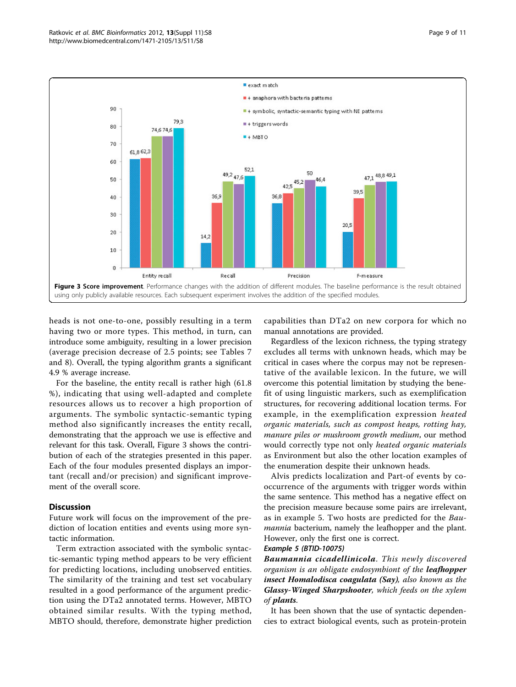<span id="page-8-0"></span>

heads is not one-to-one, possibly resulting in a term having two or more types. This method, in turn, can introduce some ambiguity, resulting in a lower precision (average precision decrease of 2.5 points; see Tables [7](#page-7-0) and [8\)](#page-7-0). Overall, the typing algorithm grants a significant 4.9 % average increase.

For the baseline, the entity recall is rather high (61.8 %), indicating that using well-adapted and complete resources allows us to recover a high proportion of arguments. The symbolic syntactic-semantic typing method also significantly increases the entity recall, demonstrating that the approach we use is effective and relevant for this task. Overall, Figure 3 shows the contribution of each of the strategies presented in this paper. Each of the four modules presented displays an important (recall and/or precision) and significant improvement of the overall score.

# Discussion

Future work will focus on the improvement of the prediction of location entities and events using more syntactic information.

Term extraction associated with the symbolic syntactic-semantic typing method appears to be very efficient for predicting locations, including unobserved entities. The similarity of the training and test set vocabulary resulted in a good performance of the argument prediction using the DTa2 annotated terms. However, MBTO obtained similar results. With the typing method, MBTO should, therefore, demonstrate higher prediction

capabilities than DTa2 on new corpora for which no manual annotations are provided.

Regardless of the lexicon richness, the typing strategy excludes all terms with unknown heads, which may be critical in cases where the corpus may not be representative of the available lexicon. In the future, we will overcome this potential limitation by studying the benefit of using linguistic markers, such as exemplification structures, for recovering additional location terms. For example, in the exemplification expression heated organic materials, such as compost heaps, rotting hay, manure piles or mushroom growth medium, our method would correctly type not only heated organic materials as Environment but also the other location examples of the enumeration despite their unknown heads.

Alvis predicts localization and Part-of events by cooccurrence of the arguments with trigger words within the same sentence. This method has a negative effect on the precision measure because some pairs are irrelevant, as in example 5. Two hosts are predicted for the Bau*mannia* bacterium, namely the leafhopper and the plant. However, only the first one is correct.

#### Example 5 (BTID-10075)

Baumannia cicadellinicola. This newly discovered organism is an obligate endosymbiont of the leafhopper insect Homalodisca coagulata (Say), also known as the Glassy-Winged Sharpshooter, which feeds on the xylem of plants.

It has been shown that the use of syntactic dependencies to extract biological events, such as protein-protein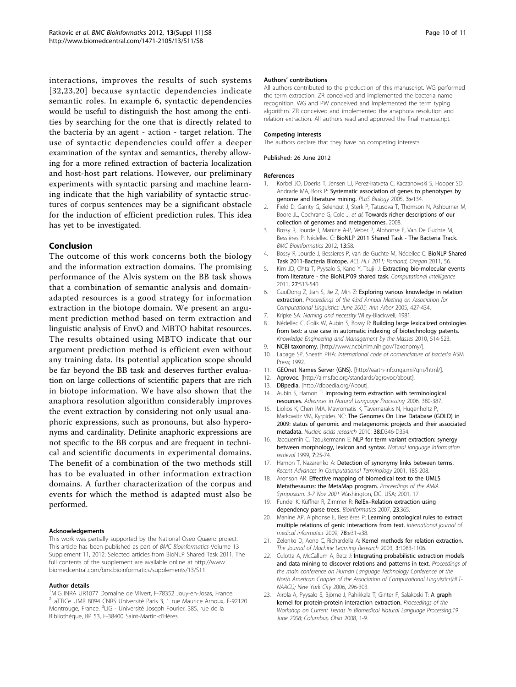<span id="page-9-0"></span>interactions, improves the results of such systems [[32](#page-10-0),23,20] because syntactic dependencies indicate semantic roles. In example 6, syntactic dependencies would be useful to distinguish the host among the entities by searching for the one that is directly related to the bacteria by an agent - action - target relation. The use of syntactic dependencies could offer a deeper examination of the syntax and semantics, thereby allowing for a more refined extraction of bacteria localization and host-host part relations. However, our preliminary experiments with syntactic parsing and machine learning indicate that the high variability of syntactic structures of corpus sentences may be a significant obstacle for the induction of efficient prediction rules. This idea has yet to be investigated.

# Conclusion

The outcome of this work concerns both the biology and the information extraction domains. The promising performance of the Alvis system on the BB task shows that a combination of semantic analysis and domainadapted resources is a good strategy for information extraction in the biotope domain. We present an argument prediction method based on term extraction and linguistic analysis of EnvO and MBTO habitat resources. The results obtained using MBTO indicate that our argument prediction method is efficient even without any training data. Its potential application scope should be far beyond the BB task and deserves further evaluation on large collections of scientific papers that are rich in biotope information. We have also shown that the anaphora resolution algorithm considerably improves the event extraction by considering not only usual anaphoric expressions, such as pronouns, but also hyperonyms and cardinality. Definite anaphoric expressions are not specific to the BB corpus and are frequent in technical and scientific documents in experimental domains. The benefit of a combination of the two methods still has to be evaluated in other information extraction domains. A further characterization of the corpus and events for which the method is adapted must also be performed.

#### Acknowledgements

This work was partially supported by the National Oseo Quaero project. This article has been published as part of BMC Bioinformatics Volume 13 Supplement 11, 2012: Selected articles from BioNLP Shared Task 2011. The full contents of the supplement are available online at [http://www.](http://www.biomedcentral.com/bmcbioinformatics/supplements/13/S11) [biomedcentral.com/bmcbioinformatics/supplements/13/S11](http://www.biomedcentral.com/bmcbioinformatics/supplements/13/S11).

#### Author details

<sup>1</sup>MIG INRA UR1077 Domaine de Vilvert, F-78352 Jouy-en-Josas, France. 2 LaTTiCe UMR 8094 CNRS Université Paris 3, 1 rue Maurice Arnoux, F-92120 Montrouge, France. <sup>3</sup>LIG - Université Joseph Fourier, 385, rue de la Bibliothèque, BP 53, F-38400 Saint-Martin-d'Hères.

#### Authors' contributions

All authors contributed to the production of this manuscript. WG performed the term extraction. ZR conceived and implemented the bacteria name recognition. WG and PW conceived and implemented the term typing algorithm. ZR conceived and implemented the anaphora resolution and relation extraction. All authors read and approved the final manuscript.

#### Competing interests

The authors declare that they have no competing interests.

Published: 26 June 2012

#### References

- 1. Korbel JO, Doerks T, Jensen LJ, Perez-Iratxeta C, Kaczanowski S, Hooper SD, Andrade MA, Bork P: [Systematic association of genes to phenotypes by](http://www.ncbi.nlm.nih.gov/pubmed/15799710?dopt=Abstract) [genome and literature mining.](http://www.ncbi.nlm.nih.gov/pubmed/15799710?dopt=Abstract) PLoS Biology 2005, 3:e134.
- 2. Field D, Garrity G, Selengut J, Sterk P, Tatusova T, Thomson N, Ashburner M, Boore JL, Cochrane G, Cole J, et al: Towards richer descriptions of our collection of genomes and metagenomes. 2008.
- 3. Bossy R, Jourde J, Manine A-P, Veber P, Alphonse E, Van De Guchte M, Bessières P, Nédellec C: [BioNLP 2011 Shared Task - The Bacteria Track.](http://www.ncbi.nlm.nih.gov/pubmed/22607587?dopt=Abstract) BMC Bioinformatics 2012, 13:S8.
- 4. Bossy R, Jourde J, Bessieres P, van de Guchte M, Nédellec C: BioNLP Shared Task 2011-Bacteria Biotope. ACL HLT 2011; Portland, Oregan 2011, 56.
- 5. Kim JD, Ohta T, Pyysalo S, Kano Y, Tsujii J: Extracting bio-molecular events from literature - the BioNLP'09 shared task. Computational Intelligence 2011, 27:513-540.
- 6. GuoDong Z, Jian S, Jie Z, Min Z: Exploring various knowledge in relation extraction. Proceedings of the 43rd Annual Meeting on Association for Computational Linguistics: June 2005; Ann Arbor 2005, 427-434.
- Kripke SA: Naming and necessity Wiley-Blackwell; 1981.
- 8. Nédellec C, Golik W, Aubin S, Bossy R: Building large lexicalized ontologies from text: a use case in automatic indexing of biotechnology patents. Knowledge Engineering and Management by the Masses 2010, 514-523.
- 9. NCBI taxonomy. [<http://www.ncbi.nlm.nih.gov/Taxonomy/>].
- 10. Lapage SP, Sneath PHA: International code of nomenclature of bacteria ASM Press; 1992.
- 11. GEOnet Names Server (GNS). [[http://earth-info.nga.mil/gns/html/\]](http://earth-info.nga.mil/gns/html/).
- 12. Agrovoc. [[http://aims.fao.org/standards/agrovoc/about\]](http://aims.fao.org/standards/agrovoc/about).
- 13. DBpedia. [\[http://dbpedia.org/About\]](http://dbpedia.org/About).
- 14. Aubin S, Hamon T: Improving term extraction with terminological resources. Advances in Natural Language Processing 2006, 380-387.
- 15. Liolios K, Chen IMA, Mavromatis K, Tavernarakis N, Hugenholtz P, Markowitz VM, Kyrpides NC: [The Genomes On Line Database \(GOLD\) in](http://www.ncbi.nlm.nih.gov/pubmed/19914934?dopt=Abstract) [2009: status of genomic and metagenomic projects and their associated](http://www.ncbi.nlm.nih.gov/pubmed/19914934?dopt=Abstract) [metadata.](http://www.ncbi.nlm.nih.gov/pubmed/19914934?dopt=Abstract) Nucleic acids research 2010, 38:D346-D354.
- 16. Jacquemin C, Tzoukermann E: NLP for term variant extraction: synergy between morphology, lexicon and syntax. Natural language information retrieval 1999, 7:25-74.
- 17. Hamon T, Nazarenko A: Detection of synonymy links between terms. Recent Advances in Computational Terminology 2001, 185-208.
- 18. Aronson AR: Effective mapping of biomedical text to the UMLS Metathesaurus: the MetaMap program. Proceedings of the AMIA Symposium: 3-7 Nov 2001 Washington, DC, USA; 2001, 17.
- 19. Fundel K, Küffner R, Zimmer R: RelEx–[Relation extraction using](http://www.ncbi.nlm.nih.gov/pubmed/17142812?dopt=Abstract) [dependency parse trees.](http://www.ncbi.nlm.nih.gov/pubmed/17142812?dopt=Abstract) Bioinformatics 2007, 23:365.
- 20. Manine AP, Alphonse E, Bessières P: [Learning ontological rules to extract](http://www.ncbi.nlm.nih.gov/pubmed/19398370?dopt=Abstract) [multiple relations of genic interactions from text.](http://www.ncbi.nlm.nih.gov/pubmed/19398370?dopt=Abstract) International journal of medical informatics 2009, 78:e31-e38.
- 21. Zelenko D, Aone C, Richardella A: Kernel methods for relation extraction. The Journal of Machine Learning Research 2003, 3:1083-1106.
- 22. Culotta A, McCallum A, Betz J: Integrating probabilistic extraction models and data mining to discover relations and patterns in text. Proceedings of the main conference on Human Language Technology Conference of the North American Chapter of the Association of Computational Linguistics(HLT-NAACL); New York City 2006, 296-303.
- 23. Airola A, Pyysalo S, Björne J, Pahikkala T, Ginter F, Salakoski T: A graph kernel for protein-protein interaction extraction. Proceedings of the Workshop on Current Trends in Biomedical Natural Language Processing:19 June 2008; Columbus, Ohio 2008, 1-9.